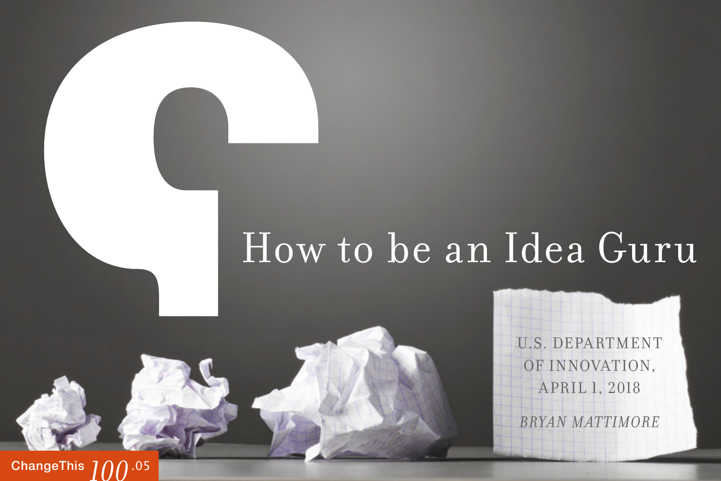# How to be an Idea Guru

U.S. DEPARTMENT OF INNOVATION, April 1, 2018

*Bryan Mattimore* 

**[ChangeThis](http://changethis.com) 700.05**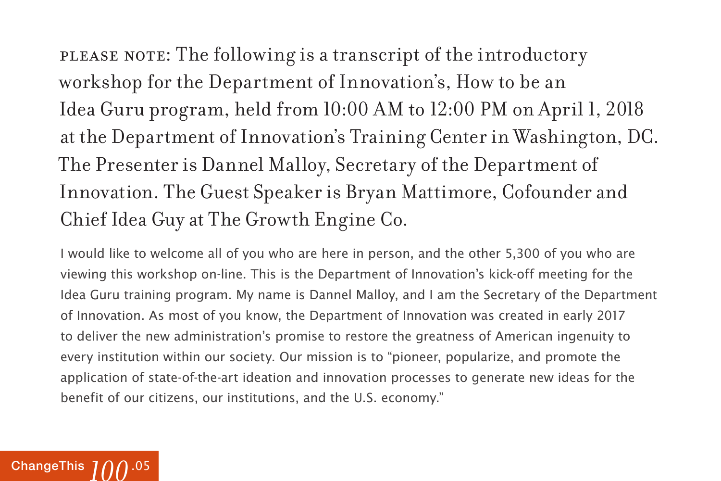please note: The following is a transcript of the introductory workshop for the Department of Innovation's, How to be an Idea Guru program, held from 10:00 AM to 12:00 PM on April 1, 2018 at the Department of Innovation's Training Center in Washington, DC. The Presenter is Dannel Malloy, Secretary of the Department of Innovation. The Guest Speaker is Bryan Mattimore, Cofounder and Chief Idea Guy at The Growth Engine Co.

I would like to welcome all of you who are here in person, and the other 5,300 of you who are viewing this workshop on-line. This is the Department of Innovation's kick-off meeting for the Idea Guru training program. My name is Dannel Malloy, and I am the Secretary of the Department of Innovation. As most of you know, the Department of Innovation was created in early 2017 to deliver the new administration's promise to restore the greatness of American ingenuity to every institution within our society. Our mission is to "pioneer, popularize, and promote the application of state-of-the-art ideation and innovation processes to generate new ideas for the benefit of our citizens, our institutions, and the U.S. economy."

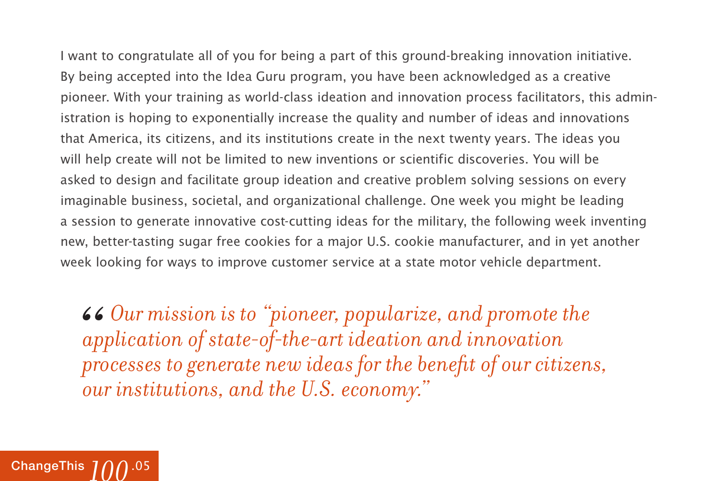I want to congratulate all of you for being a part of this ground-breaking innovation initiative. By being accepted into the Idea Guru program, you have been acknowledged as a creative pioneer. With your training as world-class ideation and innovation process facilitators, this administration is hoping to exponentially increase the quality and number of ideas and innovations that America, its citizens, and its institutions create in the next twenty years. The ideas you will help create will not be limited to new inventions or scientific discoveries. You will be asked to design and facilitate group ideation and creative problem solving sessions on every imaginable business, societal, and organizational challenge. One week you might be leading a session to generate innovative cost-cutting ideas for the military, the following week inventing new, better-tasting sugar free cookies for a major U.S. cookie manufacturer, and in yet another week looking for ways to improve customer service at a state motor vehicle department.

*Our mission is to "pioneer, popularize, and promote the application of state-of-the-art ideation and innovation processes to generate new ideas for the benefit of our citizens, our institutions, and the U.S. economy."* 66<br>*ap*<br>*pro* 

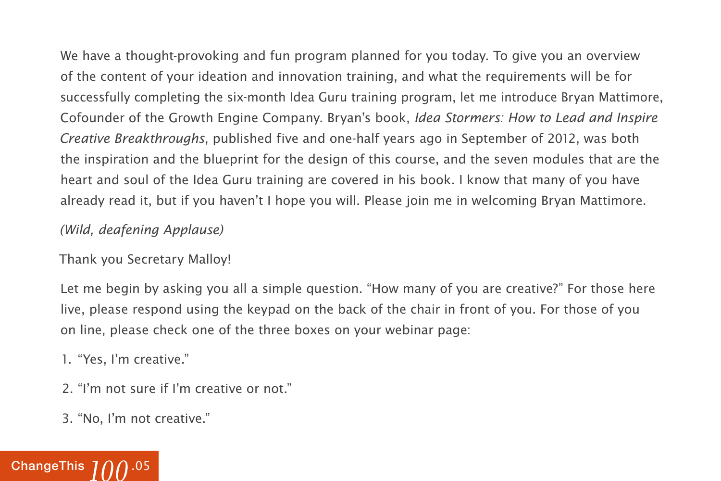We have a thought-provoking and fun program planned for you today. To give you an overview of the content of your ideation and innovation training, and what the requirements will be for successfully completing the six-month Idea Guru training program, let me introduce Bryan Mattimore, Cofounder of the Growth Engine Company. Bryan's book, Idea Stormers: How to Lead and Inspire Creative Breakthroughs, published five and one-half years ago in September of 2012, was both the inspiration and the blueprint for the design of this course, and the seven modules that are the heart and soul of the Idea Guru training are covered in his book. I know that many of you have already read it, but if you haven't I hope you will. Please join me in welcoming Bryan Mattimore.

#### (Wild, deafening Applause)

#### Thank you Secretary Malloy!

Let me begin by asking you all a simple question. "How many of you are creative?" For those here live, please respond using the keypad on the back of the chair in front of you. For those of you on line, please check one of the three boxes on your webinar page:

- 1. "Yes, I'm creative."
- 2. "I'm not sure if I'm creative or not."
- 3. "No, I'm not creative."

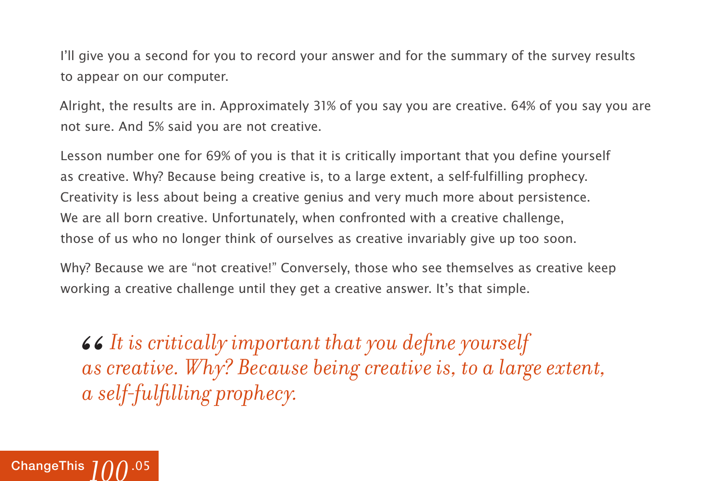I'll give you a second for you to record your answer and for the summary of the survey results to appear on our computer.

Alright, the results are in. Approximately 31% of you say you are creative. 64% of you say you are not sure. And 5% said you are not creative.

Lesson number one for 69% of you is that it is critically important that you define yourself as creative. Why? Because being creative is, to a large extent, a self-fulfilling prophecy. Creativity is less about being a creative genius and very much more about persistence. We are all born creative. Unfortunately, when confronted with a creative challenge, those of us who no longer think of ourselves as creative invariably give up too soon.

Why? Because we are "not creative!" Conversely, those who see themselves as creative keep working a creative challenge until they get a creative answer. It's that simple.

*It is critically important that you define yourself as creative. Why? Because being creative is, to a large extent, a self-fulfilling prophecy.* 66<br>*as*<br>*as* 

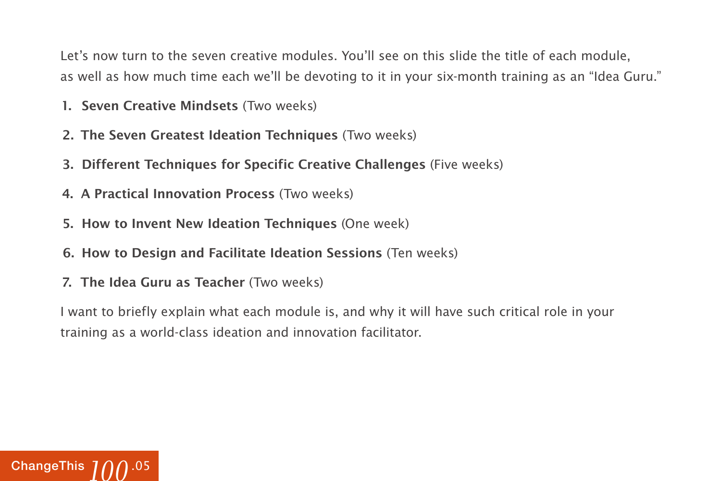Let's now turn to the seven creative modules. You'll see on this slide the title of each module, as well as how much time each we'll be devoting to it in your six-month training as an "Idea Guru."

- **1. Seven Creative Mindsets** (Two weeks)
- **2. The Seven Greatest Ideation Techniques** (Two weeks)
- **3. Different Techniques for Specific Creative Challenges** (Five weeks)
- **4. A Practical Innovation Process** (Two weeks)
- **5. How to Invent New Ideation Techniques** (One week)
- **6. How to Design and Facilitate Ideation Sessions** (Ten weeks)
- **7. The Idea Guru as Teacher** (Two weeks)

I want to briefly explain what each module is, and why it will have such critical role in your training as a world-class ideation and innovation facilitator.

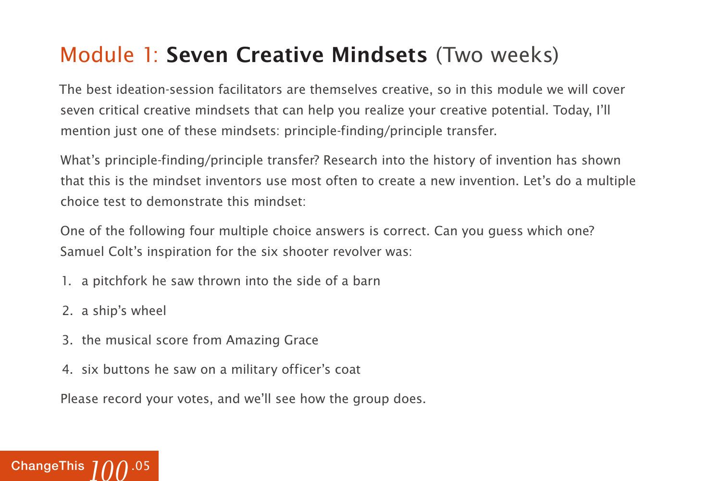### Module 1: **Seven Creative Mindsets** (Two weeks)

The best ideation-session facilitators are themselves creative, so in this module we will cover seven critical creative mindsets that can help you realize your creative potential. Today, I'll mention just one of these mindsets: principle-finding/principle transfer.

What's principle-finding/principle transfer? Research into the history of invention has shown that this is the mindset inventors use most often to create a new invention. Let's do a multiple choice test to demonstrate this mindset:

One of the following four multiple choice answers is correct. Can you guess which one? Samuel Colt's inspiration for the six shooter revolver was:

- 1. a pitchfork he saw thrown into the side of a barn
- 2. a ship's wheel
- 3. the musical score from Amazing Grace
- 4. six buttons he saw on a military officer's coat

Please record your votes, and we'll see how the group does.

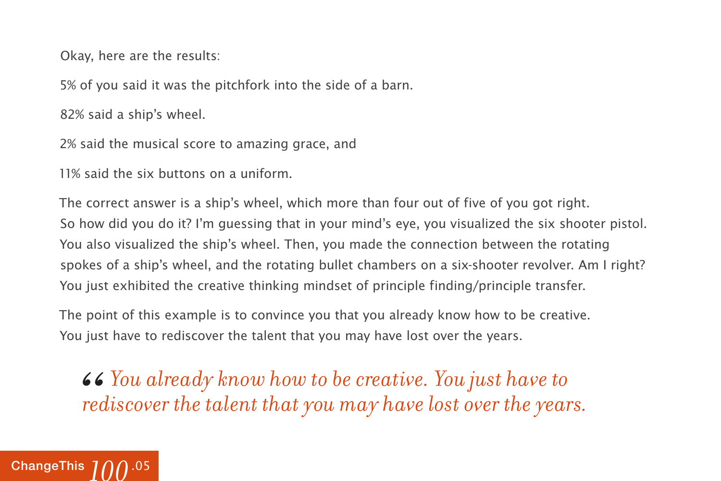Okay, here are the results:

5% of you said it was the pitchfork into the side of a barn.

82% said a ship's wheel.

2% said the musical score to amazing grace, and

11% said the six buttons on a uniform.

The correct answer is a ship's wheel, which more than four out of five of you got right. So how did you do it? I'm guessing that in your mind's eye, you visualized the six shooter pistol. You also visualized the ship's wheel. Then, you made the connection between the rotating spokes of a ship's wheel, and the rotating bullet chambers on a six-shooter revolver. Am I right? You just exhibited the creative thinking mindset of principle finding/principle transfer.

The point of this example is to convince you that you already know how to be creative. You just have to rediscover the talent that you may have lost over the years.

 $\bullet\bullet$  You already know how to be creative. You just have to rediscover the talent that you may have lost over the year *rediscover the talent that you may have lost over the years.* 

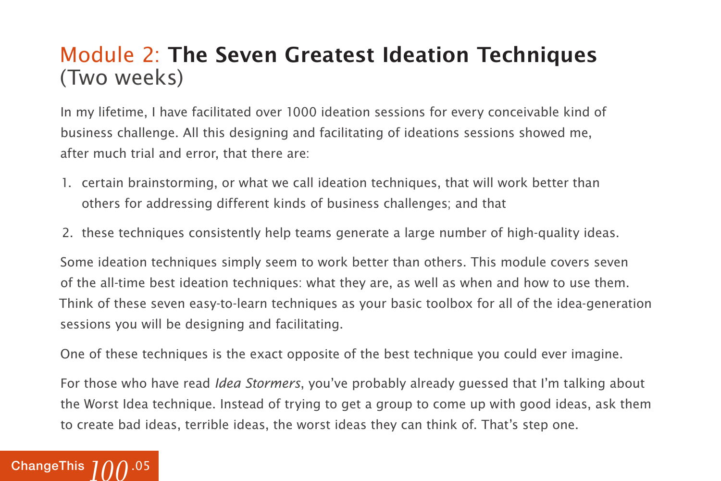### Module 2: **The Seven Greatest Ideation Techniques**  (Two weeks)

In my lifetime, I have facilitated over 1000 ideation sessions for every conceivable kind of business challenge. All this designing and facilitating of ideations sessions showed me, after much trial and error, that there are:

- 1. certain brainstorming, or what we call ideation techniques, that will work better than others for addressing different kinds of business challenges; and that
- 2. these techniques consistently help teams generate a large number of high-quality ideas.

Some ideation techniques simply seem to work better than others. This module covers seven of the all-time best ideation techniques: what they are, as well as when and how to use them. Think of these seven easy-to-learn techniques as your basic toolbox for all of the idea-generation sessions you will be designing and facilitating.

One of these techniques is the exact opposite of the best technique you could ever imagine.

For those who have read *Idea Stormers*, you've probably already quessed that I'm talking about the Worst Idea technique. Instead of trying to get a group to come up with good ideas, ask them to create bad ideas, terrible ideas, the worst ideas they can think of. That's step one.

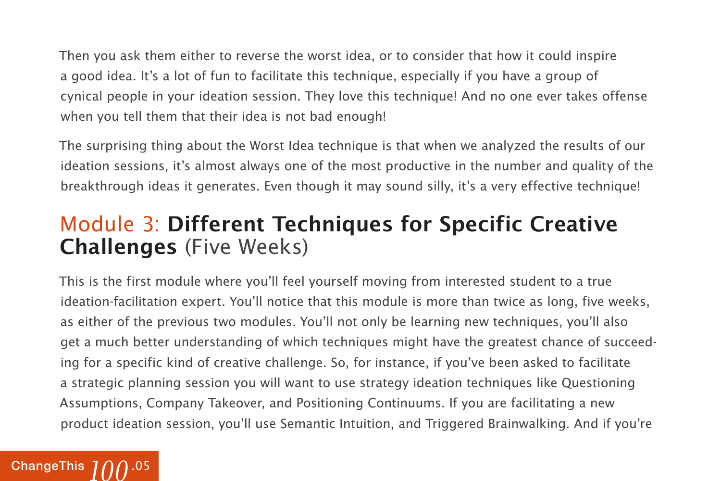Then you ask them either to reverse the worst idea, or to consider that how it could inspire a good idea. It's a lot of fun to facilitate this technique, especially if you have a group of cynical people in your ideation session. They love this technique! And no one ever takes offense when you tell them that their idea is not bad enough!

The surprising thing about the Worst Idea technique is that when we analyzed the results of our ideation sessions, it's almost always one of the most productive in the number and quality of the breakthrough ideas it generates. Even though it may sound silly, it's a very effective technique!

### Module 3: **Different Techniques for Specific Creative Challenges** (Five Weeks)

This is the first module where you'll feel yourself moving from interested student to a true ideation-facilitation expert. You'll notice that this module is more than twice as long, five weeks, as either of the previous two modules. You'll not only be learning new techniques, you'll also get a much better understanding of which techniques might have the greatest chance of succeeding for a specific kind of creative challenge. So, for instance, if you've been asked to facilitate a strategic planning session you will want to use strategy ideation techniques like Questioning Assumptions, Company Takeover, and Positioning Continuums. If you are facilitating a new product ideation session, you'll use Semantic Intuition, and Triggered Brainwalking. And if you're

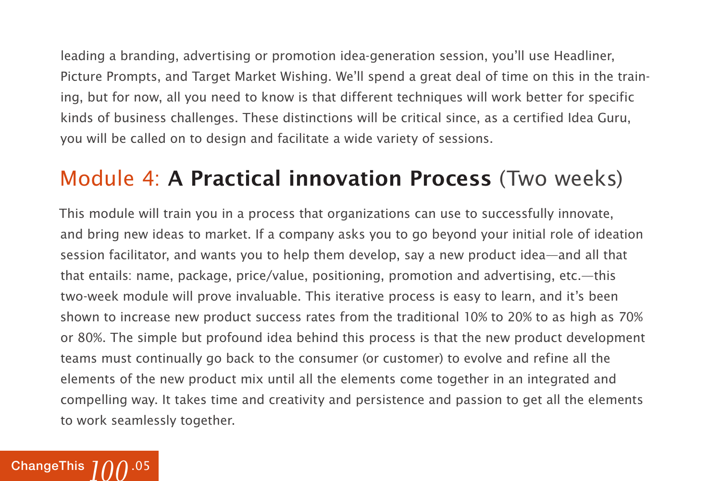leading a branding, advertising or promotion idea-generation session, you'll use Headliner, Picture Prompts, and Target Market Wishing. We'll spend a great deal of time on this in the training, but for now, all you need to know is that different techniques will work better for specific kinds of business challenges. These distinctions will be critical since, as a certified Idea Guru, you will be called on to design and facilitate a wide variety of sessions.

#### Module 4: **A Practical innovation Process** (Two weeks)

This module will train you in a process that organizations can use to successfully innovate, and bring new ideas to market. If a company asks you to go beyond your initial role of ideation session facilitator, and wants you to help them develop, say a new product idea—and all that that entails: name, package, price/value, positioning, promotion and advertising, etc.—this two-week module will prove invaluable. This iterative process is easy to learn, and it's been shown to increase new product success rates from the traditional 10% to 20% to as high as 70% or 80%. The simple but profound idea behind this process is that the new product development teams must continually go back to the consumer (or customer) to evolve and refine all the elements of the new product mix until all the elements come together in an integrated and compelling way. It takes time and creativity and persistence and passion to get all the elements to work seamlessly together.

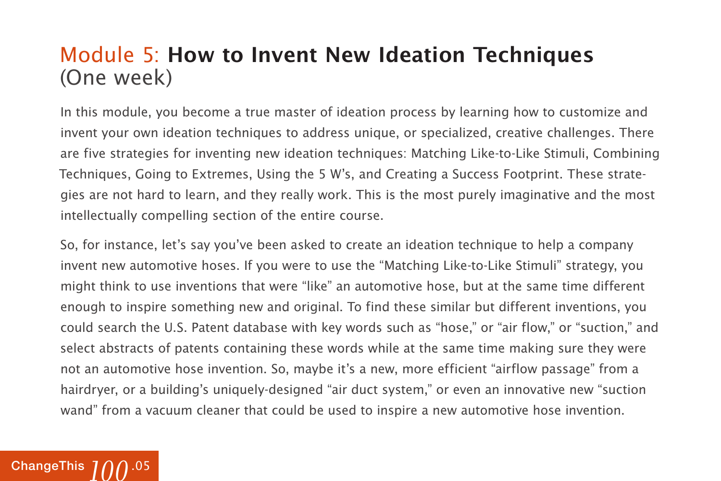#### Module 5: **How to Invent New Ideation Techniques**  (One week)

In this module, you become a true master of ideation process by learning how to customize and invent your own ideation techniques to address unique, or specialized, creative challenges. There are five strategies for inventing new ideation techniques: Matching Like-to-Like Stimuli, Combining Techniques, Going to Extremes, Using the 5 W's, and Creating a Success Footprint. These strategies are not hard to learn, and they really work. This is the most purely imaginative and the most intellectually compelling section of the entire course.

So, for instance, let's say you've been asked to create an ideation technique to help a company invent new automotive hoses. If you were to use the "Matching Like-to-Like Stimuli" strategy, you might think to use inventions that were "like" an automotive hose, but at the same time different enough to inspire something new and original. To find these similar but different inventions, you could search the U.S. Patent database with key words such as "hose," or "air flow," or "suction," and select abstracts of patents containing these words while at the same time making sure they were not an automotive hose invention. So, maybe it's a new, more efficient "airflow passage" from a hairdryer, or a building's uniquely-designed "air duct system," or even an innovative new "suction wand" from a vacuum cleaner that could be used to inspire a new automotive hose invention.

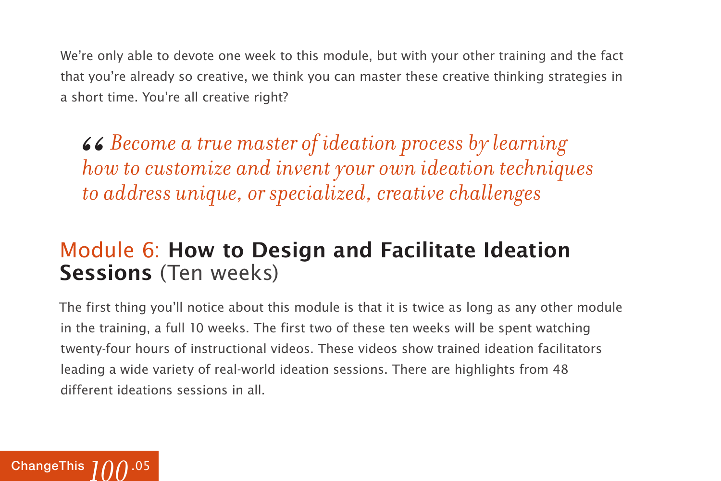We're only able to devote one week to this module, but with your other training and the fact that you're already so creative, we think you can master these creative thinking strategies in a short time. You're all creative right?

*Become a true master of ideation process by learning how to customize and invent your own ideation techniques " to address unique, or specialized, creative challenges*

#### Module 6: **How to Design and Facilitate Ideation Sessions** (Ten weeks)

The first thing you'll notice about this module is that it is twice as long as any other module in the training, a full 10 weeks. The first two of these ten weeks will be spent watching twenty-four hours of instructional videos. These videos show trained ideation facilitators leading a wide variety of real-world ideation sessions. There are highlights from 48 different ideations sessions in all.

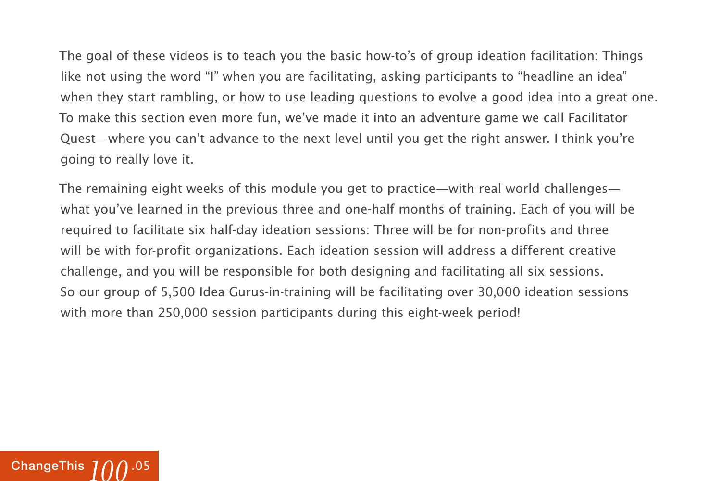The goal of these videos is to teach you the basic how-to's of group ideation facilitation: Things like not using the word "I" when you are facilitating, asking participants to "headline an idea" when they start rambling, or how to use leading questions to evolve a good idea into a great one. To make this section even more fun, we've made it into an adventure game we call Facilitator Quest—where you can't advance to the next level until you get the right answer. I think you're going to really love it.

The remaining eight weeks of this module you get to practice—with real world challenges what you've learned in the previous three and one-half months of training. Each of you will be required to facilitate six half-day ideation sessions: Three will be for non-profits and three will be with for-profit organizations. Each ideation session will address a different creative challenge, and you will be responsible for both designing and facilitating all six sessions. So our group of 5,500 Idea Gurus-in-training will be facilitating over 30,000 ideation sessions with more than 250,000 session participants during this eight-week period!

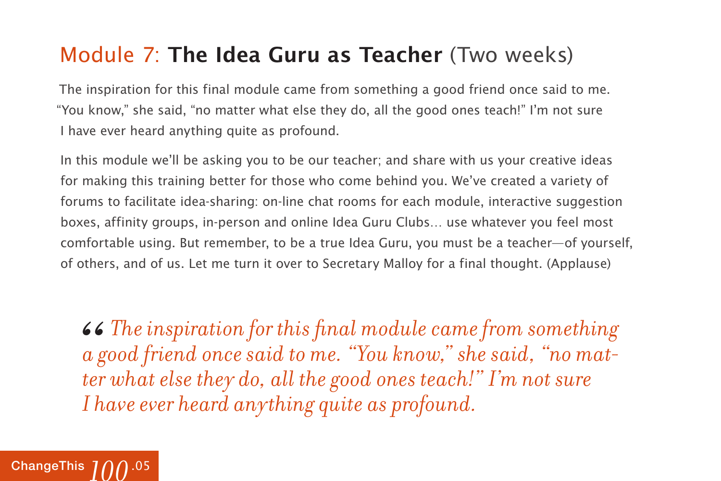### Module 7: **The Idea Guru as Teacher** (Two weeks)

The inspiration for this final module came from something a good friend once said to me. "You know," she said, "no matter what else they do, all the good ones teach!" I'm not sure I have ever heard anything quite as profound.

In this module we'll be asking you to be our teacher; and share with us your creative ideas for making this training better for those who come behind you. We've created a variety of forums to facilitate idea-sharing: on-line chat rooms for each module, interactive suggestion boxes, affinity groups, in-person and online Idea Guru Clubs… use whatever you feel most comfortable using. But remember, to be a true Idea Guru, you must be a teacher—of yourself, of others, and of us. Let me turn it over to Secretary Malloy for a final thought. (Applause)

*The inspiration for this final module came from something a good friend once said to me. "You know," she said, "no matter what else they do, all the good ones teach!" I'm not sure I have ever heard anything quite as profound.*  66<br> *a* g<br> *ter* 

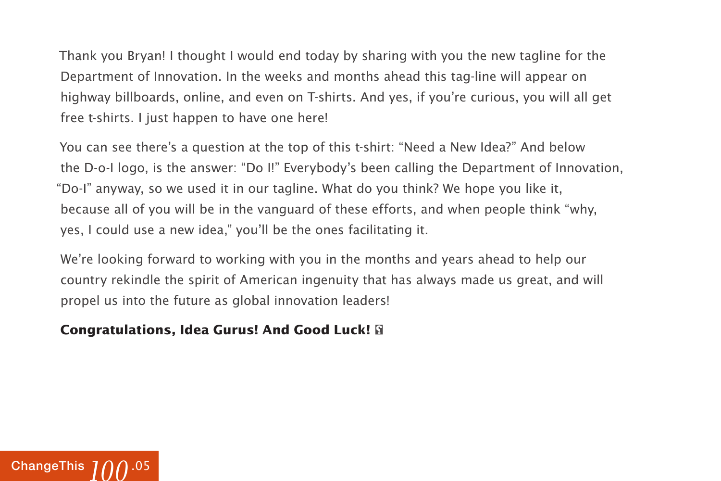Thank you Bryan! I thought I would end today by sharing with you the new tagline for the Department of Innovation. In the weeks and months ahead this tag-line will appear on highway billboards, online, and even on T-shirts. And yes, if you're curious, you will all get free t-shirts. I just happen to have one here!

You can see there's a question at the top of this t-shirt: "Need a New Idea?" And below the D-o-I logo, is the answer: "Do I!" Everybody's been calling the Department of Innovation, "Do-I" anyway, so we used it in our tagline. What do you think? We hope you like it, because all of you will be in the vanguard of these efforts, and when people think "why, yes, I could use a new idea," you'll be the ones facilitating it.

We're looking forward to working with you in the months and years ahead to help our country rekindle the spirit of American ingenuity that has always made us great, and will propel us into the future as global innovation leaders!

#### **Congratulations, Idea Gurus! And Good Luck!**

![](_page_15_Picture_4.jpeg)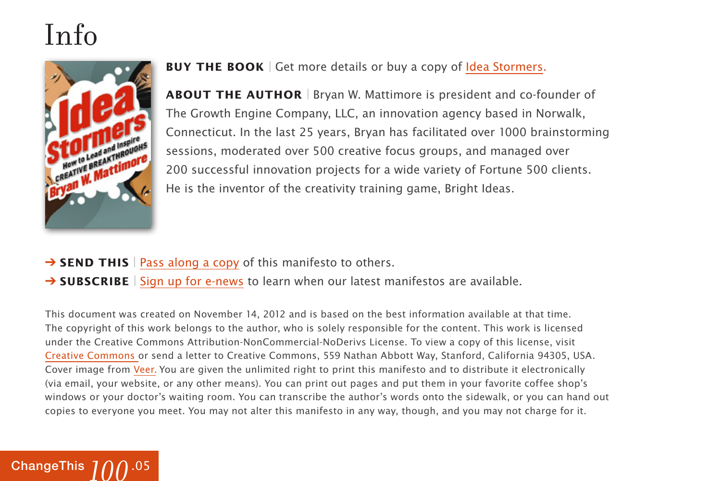## Info

[ChangeThis](http://changethis.com) .05 *100*

![](_page_16_Picture_1.jpeg)

**BUY THE BOOK** | Get more details or buy a copy of [Idea Stormers.](http://800ceoread.com/book/show/9781118134276-Idea_Stormers)

**ABOUT THE AUTHOR** | Bryan W. Mattimore is president and co-founder of The Growth Engine Company, LLC, an innovation agency based in Norwalk, Connecticut. In the last 25 years, Bryan has facilitated over 1000 brainstorming sessions, moderated over 500 creative focus groups, and managed over 200 successful innovation projects for a wide variety of Fortune 500 clients. He is the inventor of the creativity training game, Bright Ideas.

- → **SEND THIS** | [Pass along a copy](http://www.changethis.com/100.05.IdeaStormers/email) of this manifesto to others.
- **→ SUBSCRIBE** | Sign up fo[r e-news](http://changethis.com/page/show/e_mail_newsletter) to learn when our latest manifestos are available.

This document was created on November 14, 2012 and is based on the best information available at that time. The copyright of this work belongs to the author, who is solely responsible for the content. This work is licensed under the Creative Commons Attribution-NonCommercial-NoDerivs License. To view a copy of this license, visit [Creative Commons](http://creativecommons.org/licenses/by-nc-nd/2.0/) or send a letter to Creative Commons, 559 Nathan Abbott Way, Stanford, California 94305, USA. Cover image from [Veer.](http://www.veer.com/) You are given the unlimited right to print this manifesto and to distribute it electronically (via email, your website, or any other means). You can print out pages and put them in your favorite coffee shop's windows or your doctor's waiting room. You can transcribe the author's words onto the sidewalk, or you can hand out copies to everyone you meet. You may not alter this manifesto in any way, though, and you may not charge for it.